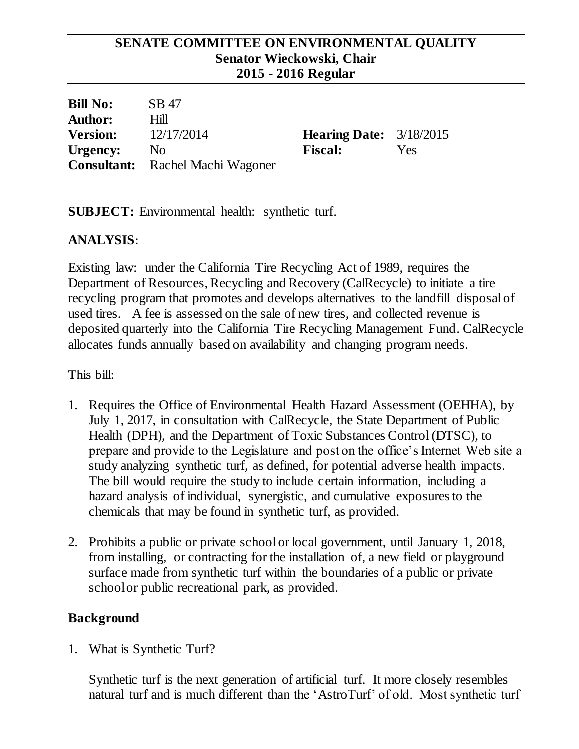### **SENATE COMMITTEE ON ENVIRONMENTAL QUALITY Senator Wieckowski, Chair 2015 - 2016 Regular**

| <b>Bill No:</b> | SB 47                                   |                                  |     |
|-----------------|-----------------------------------------|----------------------------------|-----|
| <b>Author:</b>  | Hill                                    |                                  |     |
| <b>Version:</b> | 12/17/2014                              | <b>Hearing Date:</b> $3/18/2015$ |     |
| Urgency:        | N <sub>o</sub>                          | <b>Fiscal:</b>                   | Yes |
|                 | <b>Consultant:</b> Rachel Machi Wagoner |                                  |     |

**SUBJECT:** Environmental health: synthetic turf.

## **ANALYSIS:**

Existing law: under the California Tire Recycling Act of 1989, requires the Department of Resources, Recycling and Recovery (CalRecycle) to initiate a tire recycling program that promotes and develops alternatives to the landfill disposal of used tires. A fee is assessed on the sale of new tires, and collected revenue is deposited quarterly into the California Tire Recycling Management Fund. CalRecycle allocates funds annually based on availability and changing program needs.

This bill:

- 1. Requires the Office of Environmental Health Hazard Assessment (OEHHA), by July 1, 2017, in consultation with CalRecycle, the State Department of Public Health (DPH), and the Department of Toxic Substances Control (DTSC), to prepare and provide to the Legislature and post on the office's Internet Web site a study analyzing synthetic turf, as defined, for potential adverse health impacts. The bill would require the study to include certain information, including a hazard analysis of individual, synergistic, and cumulative exposures to the chemicals that may be found in synthetic turf, as provided.
- 2. Prohibits a public or private school or local government, until January 1, 2018, from installing, or contracting for the installation of, a new field or playground surface made from synthetic turf within the boundaries of a public or private school or public recreational park, as provided.

## **Background**

1. What is Synthetic Turf?

Synthetic turf is the next generation of artificial turf. It more closely resembles natural turf and is much different than the 'AstroTurf' of old. Most synthetic turf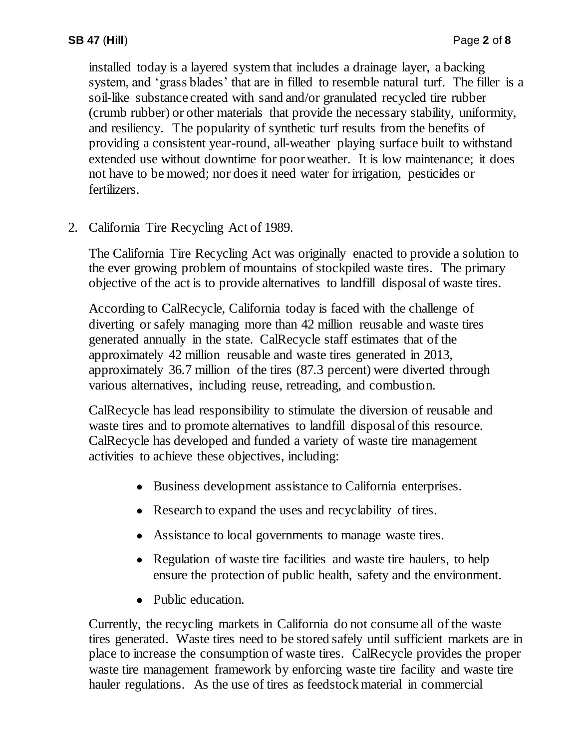installed today is a layered system that includes a drainage layer, a backing system, and 'grass blades' that are in filled to resemble natural turf. The filler is a soil-like substance created with sand and/or granulated recycled tire rubber (crumb rubber) or other materials that provide the necessary stability, uniformity, and resiliency. The popularity of synthetic turf results from the benefits of providing a consistent year-round, all-weather playing surface built to withstand extended use without downtime for poor weather. It is low maintenance; it does not have to be mowed; nor does it need water for irrigation, pesticides or fertilizers.

2. California Tire Recycling Act of 1989.

The California Tire Recycling Act was originally enacted to provide a solution to the ever growing problem of mountains of stockpiled waste tires. The primary objective of the act is to provide alternatives to landfill disposal of waste tires.

According to CalRecycle, California today is faced with the challenge of diverting or safely managing more than 42 million reusable and waste tires generated annually in the state. CalRecycle staff estimates that of the approximately 42 million reusable and waste tires generated in 2013, approximately 36.7 million of the tires (87.3 percent) were diverted through various alternatives, including reuse, retreading, and combustion.

CalRecycle has lead responsibility to stimulate the diversion of reusable and waste tires and to promote alternatives to landfill disposal of this resource. CalRecycle has developed and funded a variety of waste tire management activities to achieve these objectives, including:

- Business development assistance to California enterprises.
- Research to expand the uses and recyclability of tires.
- Assistance to local governments to manage waste tires.
- Regulation of waste tire facilities and waste tire haulers, to help ensure the protection of public health, safety and the environment.
- Public education.

Currently, the recycling markets in California do not consume all of the waste tires generated. Waste tires need to be stored safely until sufficient markets are in place to increase the consumption of waste tires. CalRecycle provides the proper waste tire management framework by enforcing waste tire facility and waste tire hauler regulations. As the use of tires as feedstock material in commercial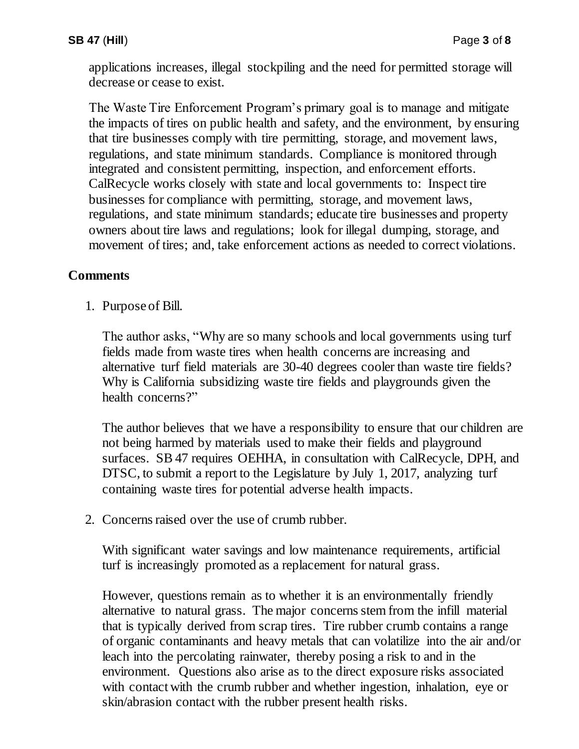applications increases, illegal stockpiling and the need for permitted storage will decrease or cease to exist.

The Waste Tire Enforcement Program's primary goal is to manage and mitigate the impacts of tires on public health and safety, and the environment, by ensuring that tire businesses comply with tire permitting, storage, and movement laws, regulations, and state minimum standards. Compliance is monitored through integrated and consistent permitting, inspection, and enforcement efforts. CalRecycle works closely with state and local governments to: Inspect tire businesses for compliance with permitting, storage, and movement laws, regulations, and state minimum standards; educate tire businesses and property owners about tire laws and regulations; look for illegal dumping, storage, and movement of tires; and, take enforcement actions as needed to correct violations.

# **Comments**

1. Purpose of Bill.

The author asks, "Why are so many schools and local governments using turf fields made from waste tires when health concerns are increasing and alternative turf field materials are 30-40 degrees cooler than waste tire fields? Why is California subsidizing waste tire fields and playgrounds given the health concerns?"

The author believes that we have a responsibility to ensure that our children are not being harmed by materials used to make their fields and playground surfaces. SB 47 requires OEHHA, in consultation with CalRecycle, DPH, and DTSC, to submit a report to the Legislature by July 1, 2017, analyzing turf containing waste tires for potential adverse health impacts.

2. Concerns raised over the use of crumb rubber.

With significant water savings and low maintenance requirements, artificial turf is increasingly promoted as a replacement for natural grass.

However, questions remain as to whether it is an environmentally friendly alternative to natural grass. The major concerns stem from the infill material that is typically derived from scrap tires. Tire rubber crumb contains a range of organic contaminants and heavy metals that can volatilize into the air and/or leach into the percolating rainwater, thereby posing a risk to and in the environment. Questions also arise as to the direct exposure risks associated with contact with the crumb rubber and whether ingestion, inhalation, eye or skin/abrasion contact with the rubber present health risks.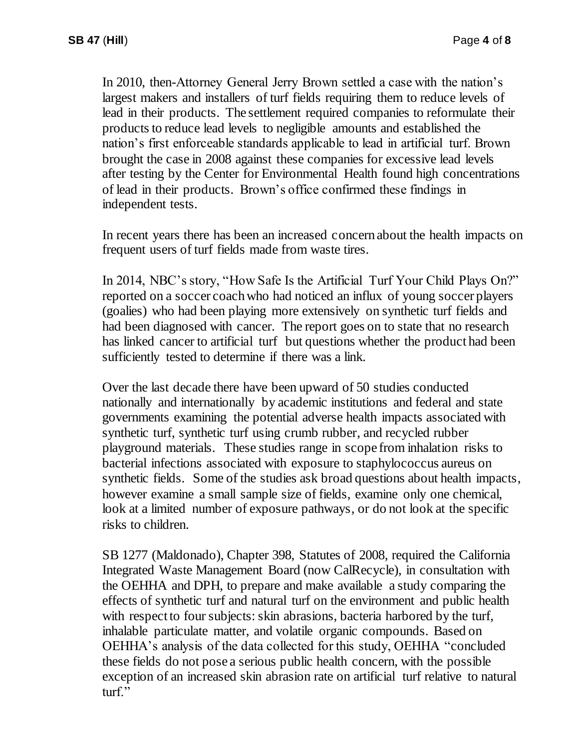In 2010, then-Attorney General Jerry Brown settled a case with the nation's largest makers and installers of turf fields requiring them to reduce levels of lead in their products. The settlement required companies to reformulate their products to reduce lead levels to negligible amounts and established the nation's first enforceable standards applicable to lead in artificial turf. Brown brought the case in 2008 against these companies for excessive lead levels after testing by the Center for Environmental Health found high concentrations of lead in their products. Brown's office confirmed these findings in independent tests.

In recent years there has been an increased concern about the health impacts on frequent users of turf fields made from waste tires.

In 2014, NBC's story, "How Safe Is the Artificial Turf Your Child Plays On?" reported on a soccer coach who had noticed an influx of young soccer players (goalies) who had been playing more extensively on synthetic turf fields and had been diagnosed with cancer. The report goes on to state that no research has linked cancer to artificial turf but questions whether the product had been sufficiently tested to determine if there was a link.

Over the last decade there have been upward of 50 studies conducted nationally and internationally by academic institutions and federal and state governments examining the potential adverse health impacts associated with synthetic turf, synthetic turf using crumb rubber, and recycled rubber playground materials. These studies range in scope from inhalation risks to bacterial infections associated with exposure to staphylococcus aureus on synthetic fields. Some of the studies ask broad questions about health impacts, however examine a small sample size of fields, examine only one chemical, look at a limited number of exposure pathways, or do not look at the specific risks to children.

SB 1277 (Maldonado), Chapter 398, Statutes of 2008, required the California Integrated Waste Management Board (now CalRecycle), in consultation with the OEHHA and DPH, to prepare and make available a study comparing the effects of synthetic turf and natural turf on the environment and public health with respect to four subjects: skin abrasions, bacteria harbored by the turf, inhalable particulate matter, and volatile organic compounds. Based on OEHHA's analysis of the data collected for this study, OEHHA "concluded these fields do not pose a serious public health concern, with the possible exception of an increased skin abrasion rate on artificial turf relative to natural turf."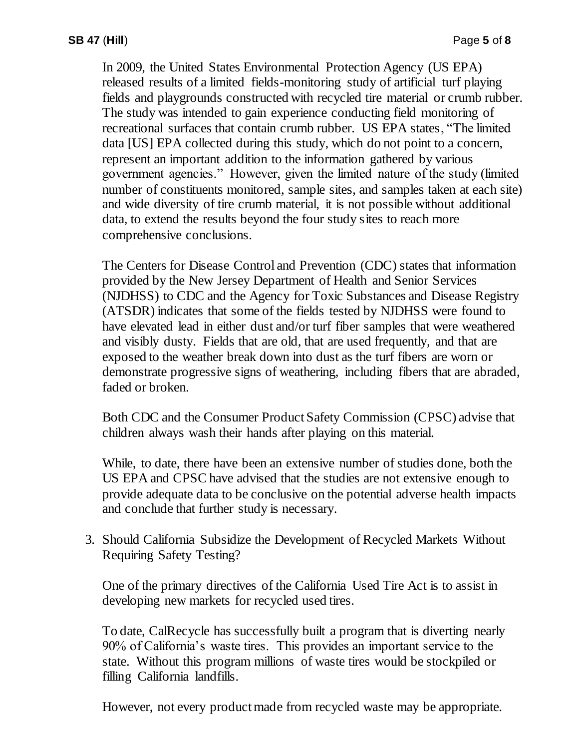In 2009, the United States Environmental Protection Agency (US EPA) released results of a limited fields-monitoring study of artificial turf playing fields and playgrounds constructed with recycled tire material or crumb rubber. The study was intended to gain experience conducting field monitoring of recreational surfaces that contain crumb rubber. US EPA states, "The limited data [US] EPA collected during this study, which do not point to a concern, represent an important addition to the information gathered by various government agencies." However, given the limited nature of the study (limited number of constituents monitored, sample sites, and samples taken at each site) and wide diversity of tire crumb material, it is not possible without additional data, to extend the results beyond the four study sites to reach more comprehensive conclusions.

The Centers for Disease Control and Prevention (CDC) states that information provided by the New Jersey Department of Health and Senior Services (NJDHSS) to CDC and the Agency for Toxic Substances and Disease Registry (ATSDR) indicates that some of the fields tested by NJDHSS were found to have elevated lead in either dust and/or turf fiber samples that were weathered and visibly dusty. Fields that are old, that are used frequently, and that are exposed to the weather break down into dust as the turf fibers are worn or demonstrate progressive signs of weathering, including fibers that are abraded, faded or broken.

Both CDC and the Consumer Product Safety Commission (CPSC) advise that children always wash their hands after playing on this material.

While, to date, there have been an extensive number of studies done, both the US EPA and CPSC have advised that the studies are not extensive enough to provide adequate data to be conclusive on the potential adverse health impacts and conclude that further study is necessary.

3. Should California Subsidize the Development of Recycled Markets Without Requiring Safety Testing?

One of the primary directives of the California Used Tire Act is to assist in developing new markets for recycled used tires.

To date, CalRecycle has successfully built a program that is diverting nearly 90% of California's waste tires. This provides an important service to the state. Without this program millions of waste tires would be stockpiled or filling California landfills.

However, not every product made from recycled waste may be appropriate.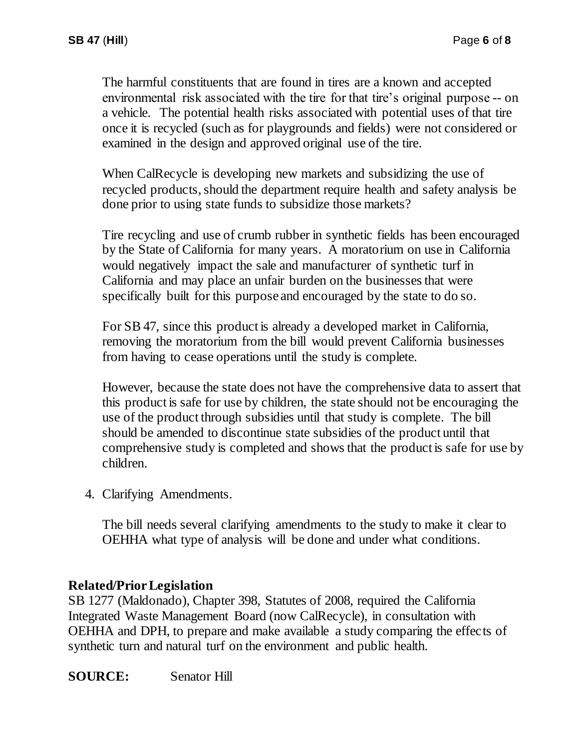The harmful constituents that are found in tires are a known and accepted environmental risk associated with the tire for that tire's original purpose -- on a vehicle. The potential health risks associated with potential uses of that tire once it is recycled (such as for playgrounds and fields) were not considered or examined in the design and approved original use of the tire.

When CalRecycle is developing new markets and subsidizing the use of recycled products, should the department require health and safety analysis be done prior to using state funds to subsidize those markets?

Tire recycling and use of crumb rubber in synthetic fields has been encouraged by the State of California for many years. A moratorium on use in California would negatively impact the sale and manufacturer of synthetic turf in California and may place an unfair burden on the businesses that were specifically built for this purpose and encouraged by the state to do so.

For SB 47, since this product is already a developed market in California, removing the moratorium from the bill would prevent California businesses from having to cease operations until the study is complete.

However, because the state does not have the comprehensive data to assert that this product is safe for use by children, the state should not be encouraging the use of the product through subsidies until that study is complete. The bill should be amended to discontinue state subsidies of the product until that comprehensive study is completed and shows that the product is safe for use by children.

4. Clarifying Amendments.

The bill needs several clarifying amendments to the study to make it clear to OEHHA what type of analysis will be done and under what conditions.

### **Related/Prior Legislation**

SB 1277 (Maldonado), Chapter 398, Statutes of 2008, required the California Integrated Waste Management Board (now CalRecycle), in consultation with OEHHA and DPH, to prepare and make available a study comparing the effects of synthetic turn and natural turf on the environment and public health.

**SOURCE:** Senator Hill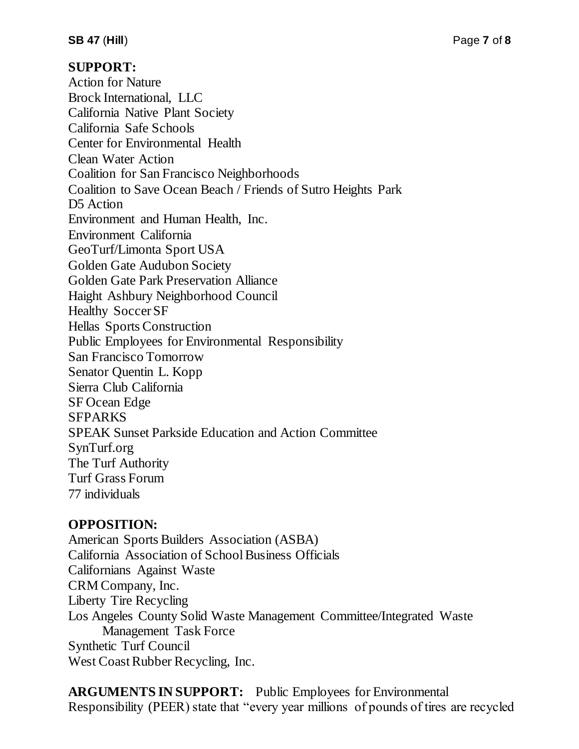### **SUPPORT:**

Action for Nature Brock International, LLC California Native Plant Society California Safe Schools Center for Environmental Health Clean Water Action Coalition for San Francisco Neighborhoods Coalition to Save Ocean Beach / Friends of Sutro Heights Park D<sub>5</sub> Action Environment and Human Health, Inc. Environment California GeoTurf/Limonta Sport USA Golden Gate Audubon Society Golden Gate Park Preservation Alliance Haight Ashbury Neighborhood Council Healthy Soccer SF Hellas Sports Construction Public Employees for Environmental Responsibility San Francisco Tomorrow Senator Quentin L. Kopp Sierra Club California SF Ocean Edge SFPARKS SPEAK Sunset Parkside Education and Action Committee SynTurf.org The Turf Authority Turf Grass Forum 77 individuals

## **OPPOSITION:**

American Sports Builders Association (ASBA) California Association of School Business Officials Californians Against Waste CRM Company, Inc. Liberty Tire Recycling Los Angeles County Solid Waste Management Committee/Integrated Waste Management Task Force Synthetic Turf Council West Coast Rubber Recycling, Inc.

**ARGUMENTS IN SUPPORT:** Public Employees for Environmental Responsibility (PEER) state that "every year millions of pounds of tires are recycled